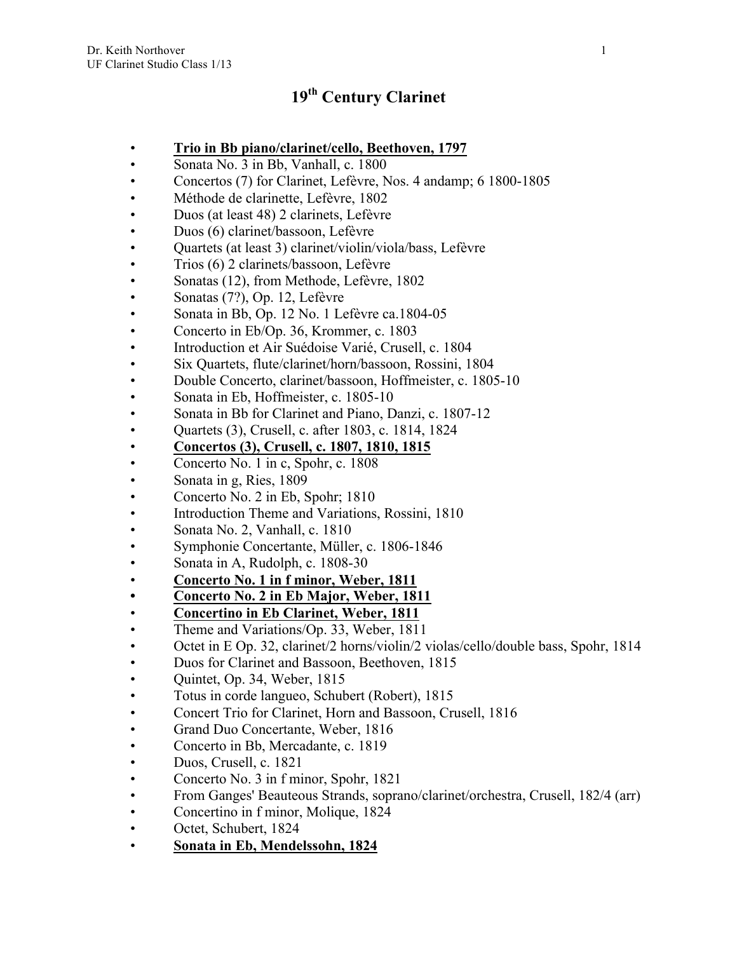# **19th Century Clarinet**

- **Trio in Bb piano/clarinet/cello, Beethoven, 1797**
- Sonata No. 3 in Bb, Vanhall, c. 1800
- Concertos (7) for Clarinet, Lefèvre, Nos. 4 andamp; 6 1800-1805
- Méthode de clarinette, Lefèvre, 1802
- Duos (at least 48) 2 clarinets, Lefèvre
- Duos (6) clarinet/bassoon, Lefèvre
- Quartets (at least 3) clarinet/violin/viola/bass, Lefèvre
- Trios (6) 2 clarinets/bassoon, Lefèvre
- Sonatas (12), from Methode, Lefèvre, 1802
- Sonatas (7?), Op. 12, Lefèvre
- Sonata in Bb, Op. 12 No. 1 Lefèvre ca.1804-05
- Concerto in Eb/Op. 36, Krommer, c. 1803
- Introduction et Air Suédoise Varié, Crusell, c. 1804
- Six Quartets, flute/clarinet/horn/bassoon, Rossini, 1804
- Double Concerto, clarinet/bassoon, Hoffmeister, c. 1805-10
- Sonata in Eb, Hoffmeister, c. 1805-10
- Sonata in Bb for Clarinet and Piano, Danzi, c. 1807-12
- Quartets (3), Crusell, c. after 1803, c. 1814, 1824
- **Concertos (3), Crusell, c. 1807, 1810, 1815**
- Concerto No. 1 in c, Spohr, c. 1808
- Sonata in g, Ries, 1809
- Concerto No. 2 in Eb, Spohr; 1810
- Introduction Theme and Variations, Rossini, 1810
- Sonata No. 2, Vanhall, c. 1810
- Symphonie Concertante, Müller, c. 1806-1846
- Sonata in A, Rudolph, c. 1808-30
- **Concerto No. 1 in f minor, Weber, 1811**
- **• Concerto No. 2 in Eb Major, Weber, 1811**
- **Concertino in Eb Clarinet, Weber, 1811**
- Theme and Variations/Op. 33, Weber, 1811
- Octet in E Op. 32, clarinet/2 horns/violin/2 violas/cello/double bass, Spohr, 1814
- Duos for Clarinet and Bassoon, Beethoven, 1815
- Quintet, Op. 34, Weber, 1815
- Totus in corde langueo, Schubert (Robert), 1815
- Concert Trio for Clarinet, Horn and Bassoon, Crusell, 1816
- Grand Duo Concertante, Weber, 1816
- Concerto in Bb, Mercadante, c. 1819
- Duos, Crusell, c. 1821
- Concerto No. 3 in f minor, Spohr, 1821
- From Ganges' Beauteous Strands, soprano/clarinet/orchestra, Crusell, 182/4 (arr)
- Concertino in f minor, Molique, 1824
- Octet, Schubert, 1824
- **Sonata in Eb, Mendelssohn, 1824**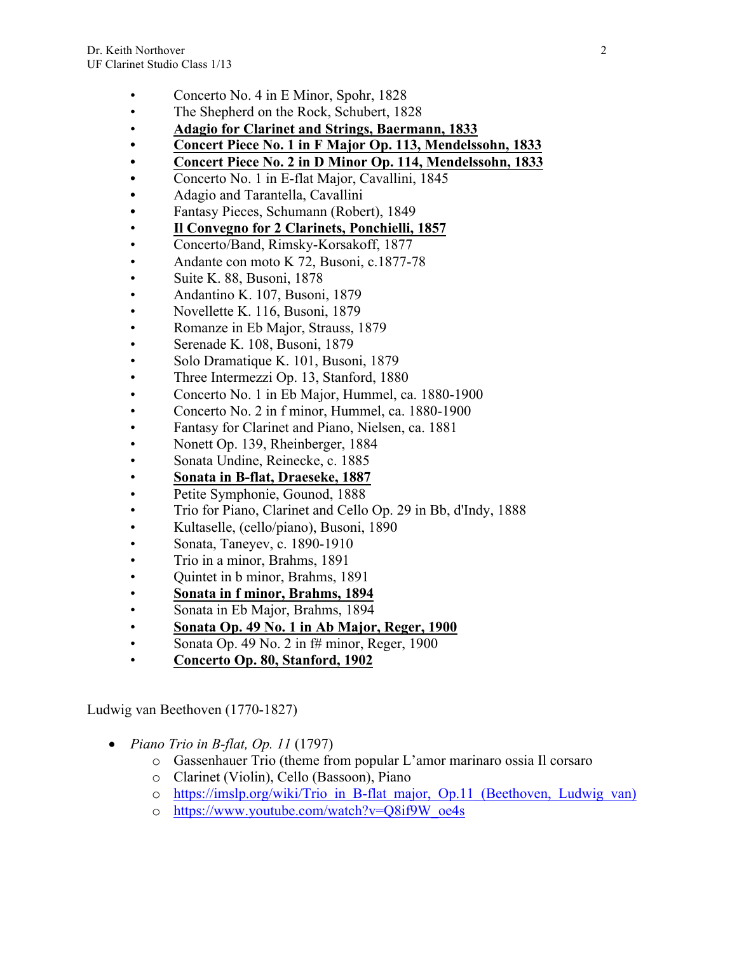- Concerto No. 4 in E Minor, Spohr, 1828
- The Shepherd on the Rock, Schubert, 1828
- **Adagio for Clarinet and Strings, Baermann, 1833**
- **• Concert Piece No. 1 in F Major Op. 113, Mendelssohn, 1833**
- **• Concert Piece No. 2 in D Minor Op. 114, Mendelssohn, 1833**
- **•** Concerto No. 1 in E-flat Major, Cavallini, 1845
- **•** Adagio and Tarantella, Cavallini
- **•** Fantasy Pieces, Schumann (Robert), 1849
- **Il Convegno for 2 Clarinets, Ponchielli, 1857**
- Concerto/Band, Rimsky-Korsakoff, 1877
- Andante con moto K 72, Busoni, c.1877-78
- Suite K. 88, Busoni, 1878
- Andantino K. 107, Busoni, 1879
- Novellette K. 116, Busoni, 1879
- Romanze in Eb Major, Strauss, 1879
- Serenade K. 108, Busoni, 1879
- Solo Dramatique K. 101, Busoni, 1879
- Three Intermezzi Op. 13, Stanford, 1880
- Concerto No. 1 in Eb Major, Hummel, ca. 1880-1900
- Concerto No. 2 in f minor, Hummel, ca. 1880-1900
- Fantasy for Clarinet and Piano, Nielsen, ca. 1881
- Nonett Op. 139, Rheinberger, 1884
- Sonata Undine, Reinecke, c. 1885
- **Sonata in B-flat, Draeseke, 1887**
- Petite Symphonie, Gounod, 1888
- Trio for Piano, Clarinet and Cello Op. 29 in Bb, d'Indy, 1888
- Kultaselle, (cello/piano), Busoni, 1890
- Sonata, Taneyev, c. 1890-1910
- Trio in a minor, Brahms, 1891
- Quintet in b minor, Brahms, 1891
- **Sonata in f minor, Brahms, 1894**
- Sonata in Eb Major, Brahms, 1894
- **Sonata Op. 49 No. 1 in Ab Major, Reger, 1900**
- Sonata Op. 49 No. 2 in  $f#$  minor, Reger, 1900
- **Concerto Op. 80, Stanford, 1902**

Ludwig van Beethoven (1770-1827)

- *Piano Trio in B-flat, Op. 11* (1797)
	- o Gassenhauer Trio (theme from popular L'amor marinaro ossia Il corsaro
	- o Clarinet (Violin), Cello (Bassoon), Piano
	- o https://imslp.org/wiki/Trio\_in\_B-flat\_major,\_Op.11\_(Beethoven,\_Ludwig\_van)
	- o https://www.youtube.com/watch?v=Q8if9W\_oe4s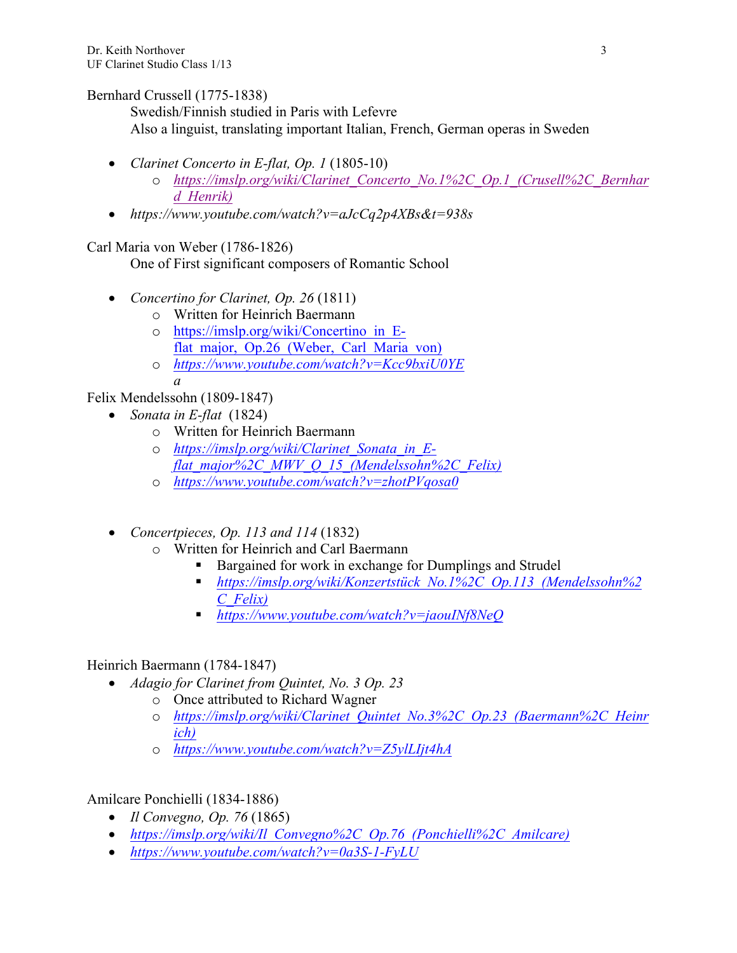## Bernhard Crussell (1775-1838)

Swedish/Finnish studied in Paris with Lefevre Also a linguist, translating important Italian, French, German operas in Sweden

- *Clarinet Concerto in E-flat, Op. 1* (1805-10)
	- o *https://imslp.org/wiki/Clarinet\_Concerto\_No.1%2C\_Op.1\_(Crusell%2C\_Bernhar d\_Henrik)*
- *https://www.youtube.com/watch?v=aJcCq2p4XBs&t=938s*

# Carl Maria von Weber (1786-1826)

One of First significant composers of Romantic School

- *Concertino for Clarinet, Op. 26* (1811)
	- o Written for Heinrich Baermann
	- o https://imslp.org/wiki/Concertino\_in\_Eflat major, Op.26 (Weber, Carl Maria von)
	- o *https://www.youtube.com/watch?v=Kcc9bxiU0YE a*

Felix Mendelssohn (1809-1847)

- *Sonata in E-flat* (1824)
	- o Written for Heinrich Baermann
	- o *https://imslp.org/wiki/Clarinet\_Sonata\_in\_Eflat\_major%2C\_MWV\_Q\_15\_(Mendelssohn%2C\_Felix)*
	- o *https://www.youtube.com/watch?v=zhotPVqosa0*
- *Concertpieces, Op. 113 and 114* (1832)
	- o Written for Heinrich and Carl Baermann
		- Bargained for work in exchange for Dumplings and Strudel
		- § *https://imslp.org/wiki/Konzertstück\_No.1%2C\_Op.113\_(Mendelssohn%2 C\_Felix)*
		- § *https://www.youtube.com/watch?v=jaouINf8NeQ*

## Heinrich Baermann (1784-1847)

- *Adagio for Clarinet from Quintet, No. 3 Op. 23*
	- o Once attributed to Richard Wagner
	- o *https://imslp.org/wiki/Clarinet\_Quintet\_No.3%2C\_Op.23\_(Baermann%2C\_Heinr ich)*
	- o *https://www.youtube.com/watch?v=Z5ylLIjt4hA*

Amilcare Ponchielli (1834-1886)

- *Il Convegno, Op. 76* (1865)
- *https://imslp.org/wiki/Il\_Convegno%2C\_Op.76\_(Ponchielli%2C\_Amilcare)*
- *https://www.youtube.com/watch?v=0a3S-1-FyLU*